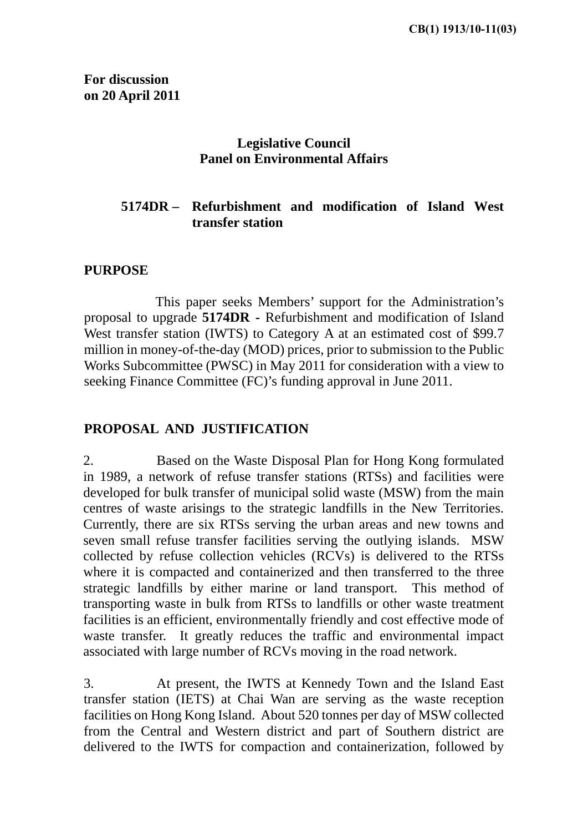**For discussion on 20 April 2011** 

### **Legislative Council Panel on Environmental Affairs**

## **5174DR – Refurbishment and modification of Island West transfer station**

#### **PURPOSE**

 This paper seeks Members' support for the Administration's proposal to upgrade **5174DR -** Refurbishment and modification of Island West transfer station (IWTS) to Category A at an estimated cost of \$99.7 million in money-of-the-day (MOD) prices, prior to submission to the Public Works Subcommittee (PWSC) in May 2011 for consideration with a view to seeking Finance Committee (FC)'s funding approval in June 2011.

### **PROPOSAL AND JUSTIFICATION**

2. Based on the Waste Disposal Plan for Hong Kong formulated in 1989, a network of refuse transfer stations (RTSs) and facilities were developed for bulk transfer of municipal solid waste (MSW) from the main centres of waste arisings to the strategic landfills in the New Territories. Currently, there are six RTSs serving the urban areas and new towns and seven small refuse transfer facilities serving the outlying islands. MSW collected by refuse collection vehicles (RCVs) is delivered to the RTSs where it is compacted and containerized and then transferred to the three strategic landfills by either marine or land transport. This method of transporting waste in bulk from RTSs to landfills or other waste treatment facilities is an efficient, environmentally friendly and cost effective mode of waste transfer. It greatly reduces the traffic and environmental impact associated with large number of RCVs moving in the road network.

3. At present, the IWTS at Kennedy Town and the Island East transfer station (IETS) at Chai Wan are serving as the waste reception facilities on Hong Kong Island. About 520 tonnes per day of MSW collected from the Central and Western district and part of Southern district are delivered to the IWTS for compaction and containerization, followed by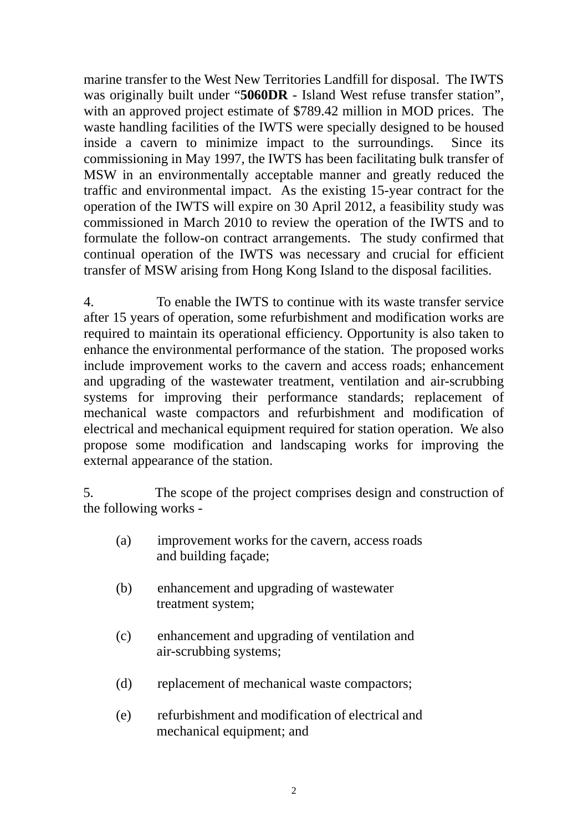marine transfer to the West New Territories Landfill for disposal. The IWTS was originally built under "**5060DR** - Island West refuse transfer station", with an approved project estimate of \$789.42 million in MOD prices. The waste handling facilities of the IWTS were specially designed to be housed inside a cavern to minimize impact to the surroundings. Since its commissioning in May 1997, the IWTS has been facilitating bulk transfer of MSW in an environmentally acceptable manner and greatly reduced the traffic and environmental impact. As the existing 15-year contract for the operation of the IWTS will expire on 30 April 2012, a feasibility study was commissioned in March 2010 to review the operation of the IWTS and to formulate the follow-on contract arrangements. The study confirmed that continual operation of the IWTS was necessary and crucial for efficient transfer of MSW arising from Hong Kong Island to the disposal facilities.

4. To enable the IWTS to continue with its waste transfer service after 15 years of operation, some refurbishment and modification works are required to maintain its operational efficiency. Opportunity is also taken to enhance the environmental performance of the station. The proposed works include improvement works to the cavern and access roads; enhancement and upgrading of the wastewater treatment, ventilation and air-scrubbing systems for improving their performance standards; replacement of mechanical waste compactors and refurbishment and modification of electrical and mechanical equipment required for station operation. We also propose some modification and landscaping works for improving the external appearance of the station.

5. The scope of the project comprises design and construction of the following works -

- (a) improvement works for the cavern, access roads and building façade;
- (b) enhancement and upgrading of wastewater treatment system;
- (c) enhancement and upgrading of ventilation and air-scrubbing systems;
- (d) replacement of mechanical waste compactors;
- (e) refurbishment and modification of electrical and mechanical equipment; and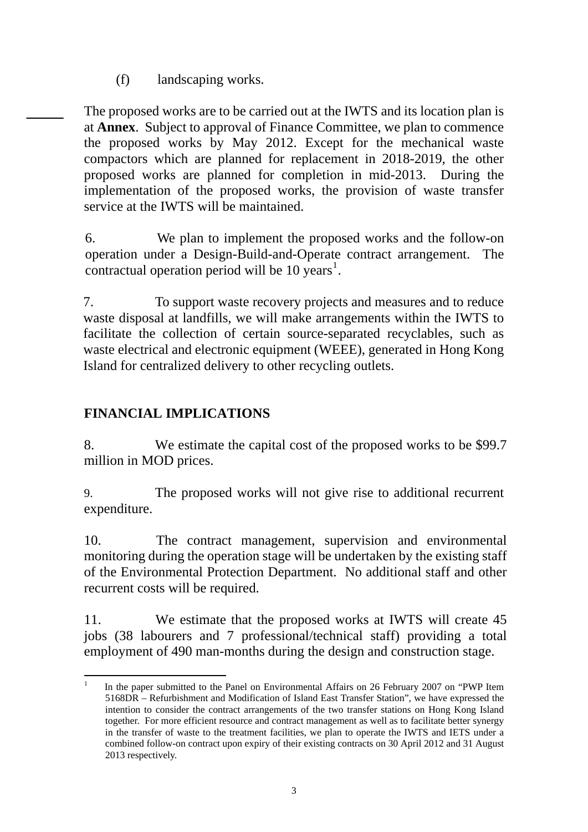(f) landscaping works.

The proposed works are to be carried out at the IWTS and its location plan is at **Annex**. Subject to approval of Finance Committee, we plan to commence the proposed works by May 2012. Except for the mechanical waste compactors which are planned for replacement in 2018-2019, the other proposed works are planned for completion in mid-2013. During the implementation of the proposed works, the provision of waste transfer service at the IWTS will be maintained.

6. We plan to implement the proposed works and the follow-on operation under a Design-Build-and-Operate contract arrangement. The contractual operation period will be 10 years [1](#page-2-0) .

7. To support waste recovery projects and measures and to reduce waste disposal at landfills, we will make arrangements within the IWTS to facilitate the collection of certain source-separated recyclables, such as waste electrical and electronic equipment (WEEE), generated in Hong Kong Island for centralized delivery to other recycling outlets.

# **FINANCIAL IMPLICATIONS**

8. We estimate the capital cost of the proposed works to be \$99.7 million in MOD prices.

9. The proposed works will not give rise to additional recurrent expenditure.

10. The contract management, supervision and environmental monitoring during the operation stage will be undertaken by the existing staff of the Environmental Protection Department. No additional staff and other recurrent costs will be required.

11. We estimate that the proposed works at IWTS will create 45 jobs (38 labourers and 7 professional/technical staff) providing a total employment of 490 man-months during the design and construction stage.

<span id="page-2-0"></span><sup>1</sup> 1 In the paper submitted to the Panel on Environmental Affairs on 26 February 2007 on "PWP Item 5168DR – Refurbishment and Modification of Island East Transfer Station", we have expressed the intention to consider the contract arrangements of the two transfer stations on Hong Kong Island together. For more efficient resource and contract management as well as to facilitate better synergy in the transfer of waste to the treatment facilities, we plan to operate the IWTS and IETS under a combined follow-on contract upon expiry of their existing contracts on 30 April 2012 and 31 August 2013 respectively.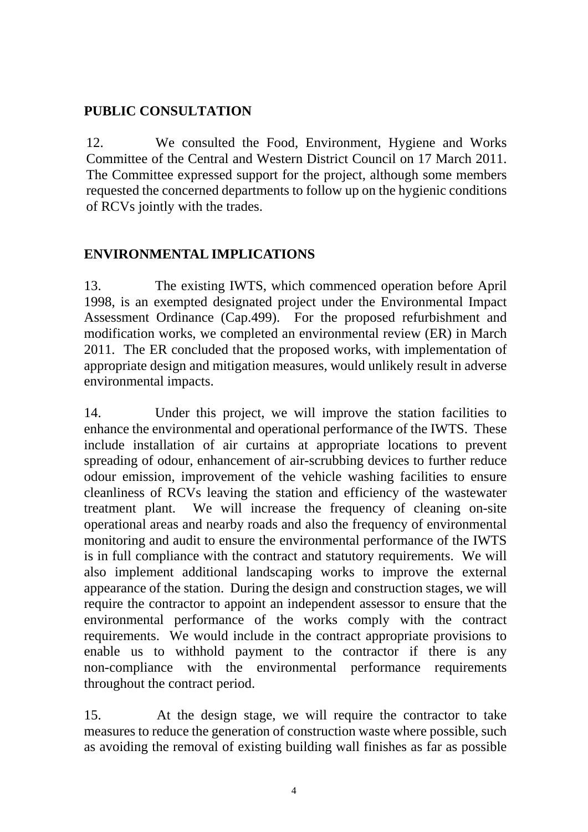## **PUBLIC CONSULTATION**

12. We consulted the Food, Environment, Hygiene and Works Committee of the Central and Western District Council on 17 March 2011. The Committee expressed support for the project, although some members requested the concerned departments to follow up on the hygienic conditions of RCVs jointly with the trades.

## **ENVIRONMENTAL IMPLICATIONS**

13. The existing IWTS, which commenced operation before April 1998, is an exempted designated project under the Environmental Impact Assessment Ordinance (Cap.499). For the proposed refurbishment and modification works, we completed an environmental review (ER) in March 2011. The ER concluded that the proposed works, with implementation of appropriate design and mitigation measures, would unlikely result in adverse environmental impacts.

14. Under this project, we will improve the station facilities to enhance the environmental and operational performance of the IWTS. These include installation of air curtains at appropriate locations to prevent spreading of odour, enhancement of air-scrubbing devices to further reduce odour emission, improvement of the vehicle washing facilities to ensure cleanliness of RCVs leaving the station and efficiency of the wastewater treatment plant. We will increase the frequency of cleaning on-site operational areas and nearby roads and also the frequency of environmental monitoring and audit to ensure the environmental performance of the IWTS is in full compliance with the contract and statutory requirements. We will also implement additional landscaping works to improve the external appearance of the station. During the design and construction stages, we will require the contractor to appoint an independent assessor to ensure that the environmental performance of the works comply with the contract requirements. We would include in the contract appropriate provisions to enable us to withhold payment to the contractor if there is any non-compliance with the environmental performance requirements throughout the contract period.

15. At the design stage, we will require the contractor to take measures to reduce the generation of construction waste where possible, such as avoiding the removal of existing building wall finishes as far as possible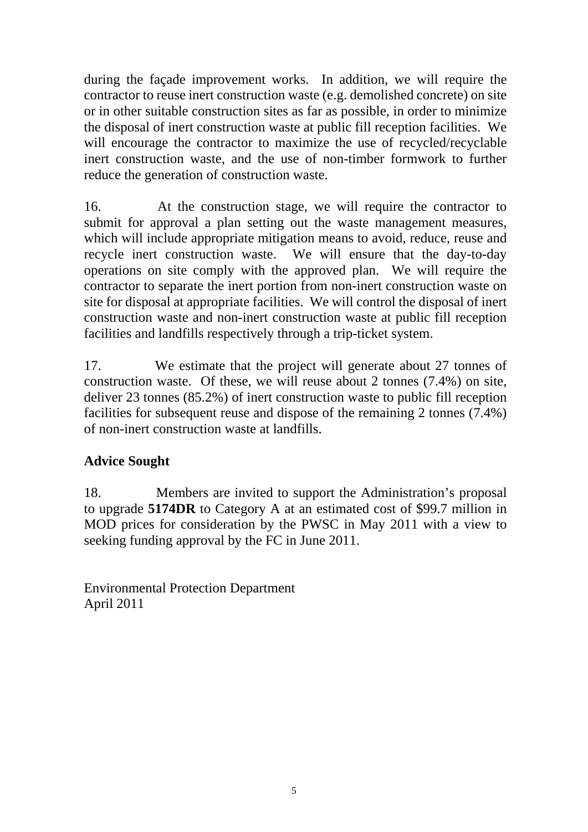during the façade improvement works. In addition, we will require the contractor to reuse inert construction waste (e.g. demolished concrete) on site or in other suitable construction sites as far as possible, in order to minimize the disposal of inert construction waste at public fill reception facilities. We will encourage the contractor to maximize the use of recycled/recyclable inert construction waste, and the use of non-timber formwork to further reduce the generation of construction waste.

16. At the construction stage, we will require the contractor to submit for approval a plan setting out the waste management measures, which will include appropriate mitigation means to avoid, reduce, reuse and recycle inert construction waste. We will ensure that the day-to-day operations on site comply with the approved plan. We will require the contractor to separate the inert portion from non-inert construction waste on site for disposal at appropriate facilities. We will control the disposal of inert construction waste and non-inert construction waste at public fill reception facilities and landfills respectively through a trip-ticket system.

17. We estimate that the project will generate about 27 tonnes of construction waste. Of these, we will reuse about 2 tonnes (7.4%) on site, deliver 23 tonnes (85.2%) of inert construction waste to public fill reception facilities for subsequent reuse and dispose of the remaining 2 tonnes (7.4%) of non-inert construction waste at landfills.

# **Advice Sought**

18. Members are invited to support the Administration's proposal to upgrade **5174DR** to Category A at an estimated cost of \$99.7 million in MOD prices for consideration by the PWSC in May 2011 with a view to seeking funding approval by the FC in June 2011.

Environmental Protection Department April 2011